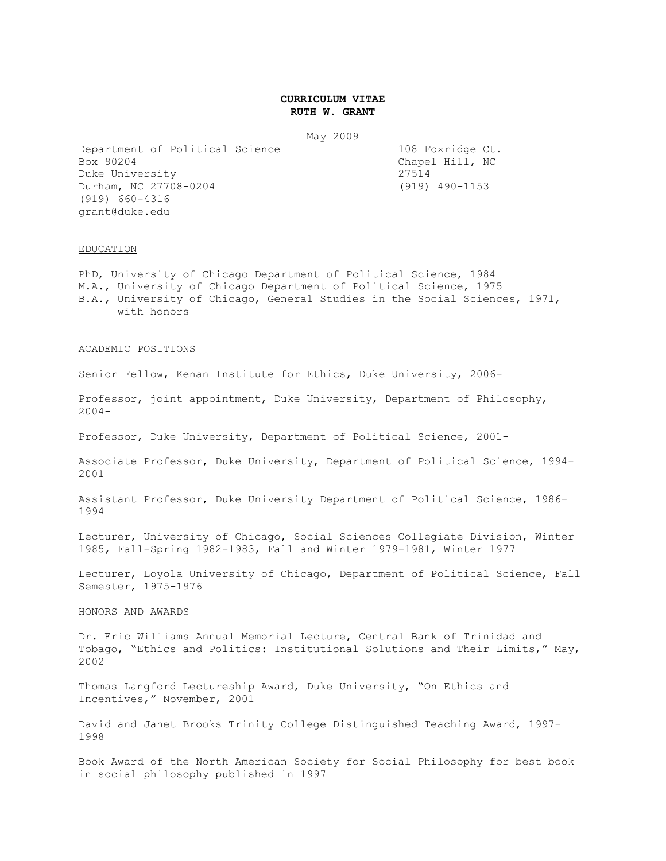# CURRICULUM VITAE **RUTH W. GRANT**

May 2009

Department of Political Science 108 Foxridge Ct. Box 90204 Chapel Hill, NC<br>
Duke University 27514 27514 Duke University Durham, NC 27708-0204 (919) 490-1153 (919) 660-4316 grant@duke.edu

#### EDUCATION

PhD, University of Chicago Department of Political Science, 1984 M.A., University of Chicago Department of Political Science, 1975

- B.A., University of Chicago, General Studies in the Social Sciences, 1971,
- with honors

## ACADEMIC POSITIONS

Senior Fellow, Kenan Institute for Ethics, Duke University, 2006-

Professor, joint appointment, Duke University, Department of Philosophy, 2004-

Professor, Duke University, Department of Political Science, 2001-

Associate Professor, Duke University, Department of Political Science, 1994- 2001

Assistant Professor, Duke University Department of Political Science, 1986- 1994

Lecturer, University of Chicago, Social Sciences Collegiate Division, Winter 1985, Fall-Spring 1982-1983, Fall and Winter 1979-1981, Winter 1977

Lecturer, Loyola University of Chicago, Department of Political Science, Fall Semester, 1975-1976

### HONORS AND AWARDS

Dr. Eric Williams Annual Memorial Lecture, Central Bank of Trinidad and Tobago, "Ethics and Politics: Institutional Solutions and Their Limits," May, 2002

Thomas Langford Lectureship Award, Duke University, "On Ethics and Incentives," November, 2001

David and Janet Brooks Trinity College Distinguished Teaching Award, 1997- 1998

Book Award of the North American Society for Social Philosophy for best book in social philosophy published in 1997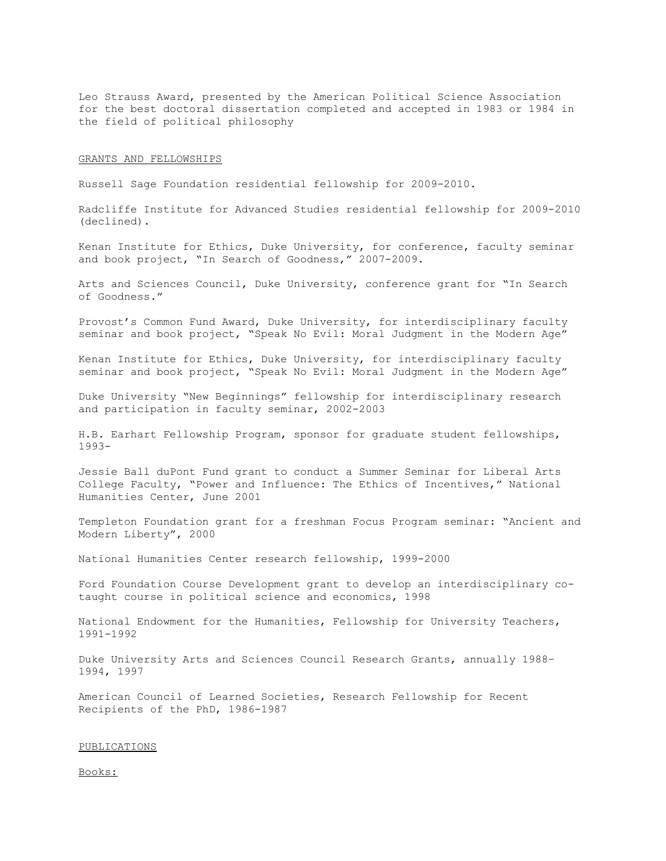Leo Strauss Award, presented by the American Political Science Association for the best doctoral dissertation completed and accepted in 1983 or 1984 in the field of political philosophy

### GRANTS AND FELLOWSHIPS

Russell Sage Foundation residential fellowship for 2009-2010.

Radcliffe Institute for Advanced Studies residential fellowship for 2009-2010 (declined).

Kenan Institute for Ethics, Duke University, for conference, faculty seminar and book project, "In Search of Goodness," 2007-2009.

Arts and Sciences Council, Duke University, conference grant for "In Search of Goodness."

Provost's Common Fund Award, Duke University, for interdisciplinary faculty seminar and book project, "Speak No Evil: Moral Judgment in the Modern Age"

Kenan Institute for Ethics, Duke University, for interdisciplinary faculty seminar and book project, "Speak No Evil: Moral Judgment in the Modern Age"

Duke University "New Beginnings" fellowship for interdisciplinary research and participation in faculty seminar, 2002-2003

H.B. Earhart Fellowship Program, sponsor for graduate student fellowships, 1993-

Jessie Ball duPont Fund grant to conduct a Summer Seminar for Liberal Arts College Faculty, "Power and Influence: The Ethics of Incentives," National Humanities Center, June 2001

Templeton Foundation grant for a freshman Focus Program seminar: "Ancient and Modern Liberty", 2000

National Humanities Center research fellowship, 1999-2000

Ford Foundation Course Development grant to develop an interdisciplinary cotaught course in political science and economics, 1998

National Endowment for the Humanities, Fellowship for University Teachers, 1991-1992

Duke University Arts and Sciences Council Research Grants, annually 1988– 1994, 1997

American Council of Learned Societies, Research Fellowship for Recent Recipients of the PhD, 1986-1987

#### PUBLICATIONS

Books: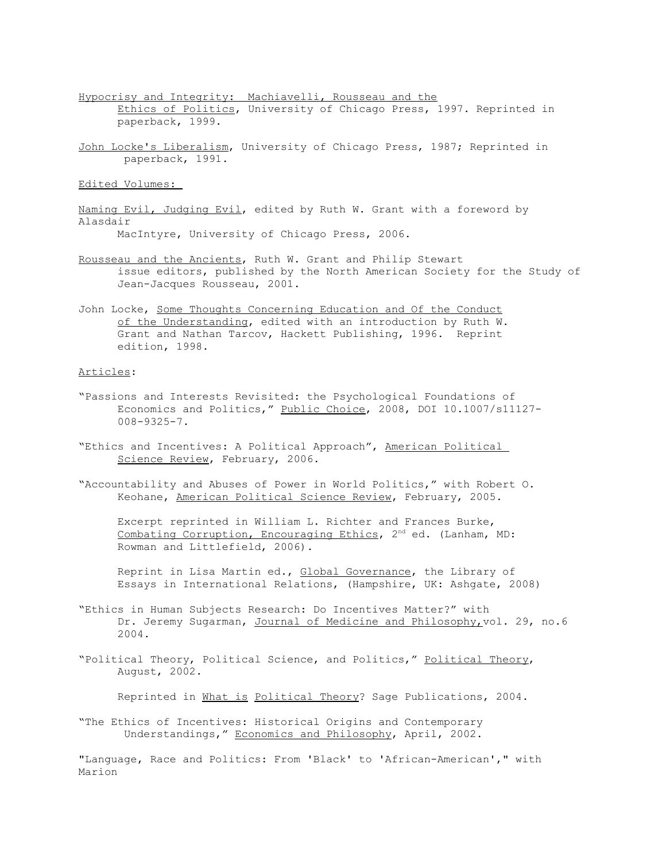Hypocrisy and Integrity: Machiavelli, Rousseau and the

Ethics of Politics, University of Chicago Press, 1997. Reprinted in paperback, 1999.

John Locke's Liberalism, University of Chicago Press, 1987; Reprinted in paperback, 1991.

Edited Volumes:

- Naming Evil, Judging Evil, edited by Ruth W. Grant with a foreword by Alasdair MacIntyre, University of Chicago Press, 2006.
- Rousseau and the Ancients, Ruth W. Grant and Philip Stewart issue editors, published by the North American Society for the Study of Jean-Jacques Rousseau, 2001.
- John Locke, Some Thoughts Concerning Education and Of the Conduct of the Understanding, edited with an introduction by Ruth W. Grant and Nathan Tarcov, Hackett Publishing, 1996. Reprint edition, 1998.

### Articles:

- "Passions and Interests Revisited: the Psychological Foundations of Economics and Politics," Public Choice, 2008, DOI 10.1007/s11127- 008-9325-7.
- "Ethics and Incentives: A Political Approach", American Political Science Review, February, 2006.
- "Accountability and Abuses of Power in World Politics," with Robert O. Keohane, American Political Science Review, February, 2005.

Excerpt reprinted in William L. Richter and Frances Burke, Combating Corruption, Encouraging Ethics, 2<sup>nd</sup> ed. (Lanham, MD: Rowman and Littlefield, 2006).

Reprint in Lisa Martin ed., Global Governance, the Library of Essays in International Relations, (Hampshire, UK: Ashgate, 2008)

- "Ethics in Human Subjects Research: Do Incentives Matter?" with Dr. Jeremy Sugarman, Journal of Medicine and Philosophy, vol. 29, no.6 2004.
- "Political Theory, Political Science, and Politics," Political Theory, August, 2002.

Reprinted in What is Political Theory? Sage Publications, 2004.

"The Ethics of Incentives: Historical Origins and Contemporary Understandings," Economics and Philosophy, April, 2002.

"Language, Race and Politics: From 'Black' to 'African-American'," with Marion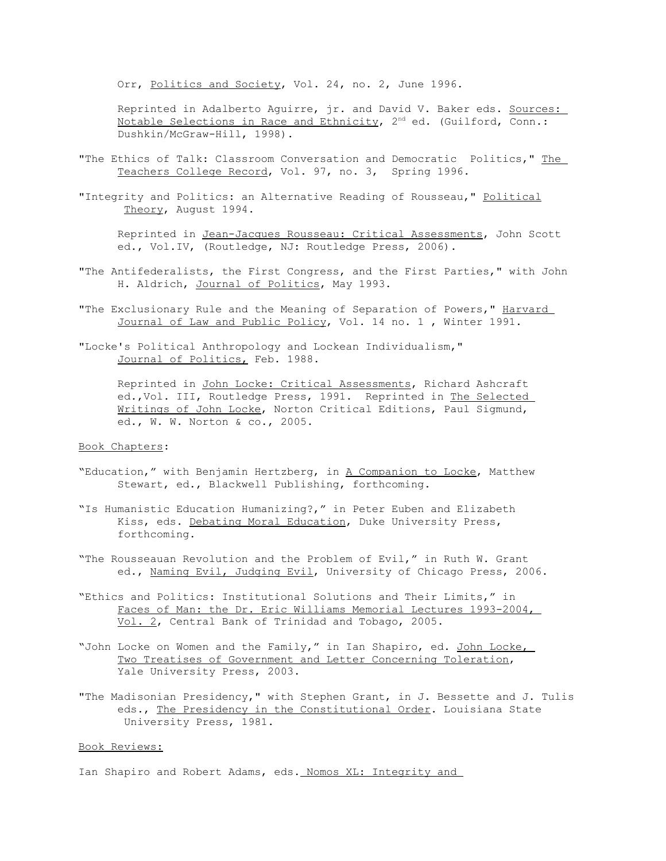Orr, Politics and Society, Vol. 24, no. 2, June 1996.

Reprinted in Adalberto Aguirre, jr. and David V. Baker eds. Sources: Notable Selections in Race and Ethnicity, 2<sup>nd</sup> ed. (Guilford, Conn.: Dushkin/McGraw-Hill, 1998).

- "The Ethics of Talk: Classroom Conversation and Democratic Politics," The Teachers College Record, Vol. 97, no. 3, Spring 1996.
- "Integrity and Politics: an Alternative Reading of Rousseau," Political Theory, August 1994.

Reprinted in Jean-Jacques Rousseau: Critical Assessments, John Scott ed., Vol.IV, (Routledge, NJ: Routledge Press, 2006).

- "The Antifederalists, the First Congress, and the First Parties," with John H. Aldrich, Journal of Politics, May 1993.
- "The Exclusionary Rule and the Meaning of Separation of Powers," Harvard Journal of Law and Public Policy, Vol. 14 no. 1, Winter 1991.
- "Locke's Political Anthropology and Lockean Individualism," Journal of Politics, Feb. 1988.

Reprinted in John Locke: Critical Assessments, Richard Ashcraft ed., Vol. III, Routledge Press, 1991. Reprinted in The Selected Writings of John Locke, Norton Critical Editions, Paul Sigmund, ed., W. W. Norton & co., 2005.

## Book Chapters:

- "Education," with Benjamin Hertzberg, in A Companion to Locke, Matthew Stewart, ed., Blackwell Publishing, forthcoming.
- "Is Humanistic Education Humanizing?," in Peter Euben and Elizabeth Kiss, eds. Debating Moral Education, Duke University Press, forthcoming.
- "The Rousseauan Revolution and the Problem of Evil," in Ruth W. Grant ed., Naming Evil, Judging Evil, University of Chicago Press, 2006.
- "Ethics and Politics: Institutional Solutions and Their Limits," in Faces of Man: the Dr. Eric Williams Memorial Lectures 1993-2004, Vol. 2, Central Bank of Trinidad and Tobago, 2005.
- "John Locke on Women and the Family," in Ian Shapiro, ed. John Locke, Two Treatises of Government and Letter Concerning Toleration, Yale University Press, 2003.
- "The Madisonian Presidency," with Stephen Grant, in J. Bessette and J. Tulis eds., The Presidency in the Constitutional Order. Louisiana State University Press, 1981.

# Book Reviews:

Ian Shapiro and Robert Adams, eds. Nomos XL: Integrity and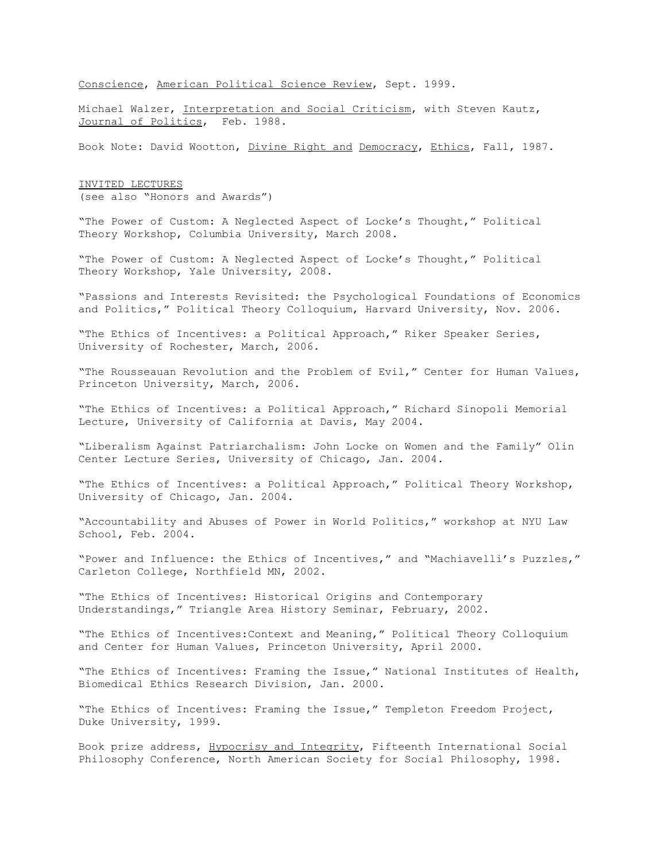Conscience, American Political Science Review, Sept. 1999.

Michael Walzer, Interpretation and Social Criticism, with Steven Kautz, Journal of Politics, Feb. 1988.

Book Note: David Wootton, Divine Right and Democracy, Ethics, Fall, 1987.

INVITED LECTURES (see also "Honors and Awards")

"The Power of Custom: A Neglected Aspect of Locke's Thought," Political Theory Workshop, Columbia University, March 2008.

"The Power of Custom: A Neglected Aspect of Locke's Thought," Political Theory Workshop, Yale University, 2008.

"Passions and Interests Revisited: the Psychological Foundations of Economics and Politics," Political Theory Colloquium, Harvard University, Nov. 2006.

"The Ethics of Incentives: a Political Approach," Riker Speaker Series, University of Rochester, March, 2006.

"The Rousseauan Revolution and the Problem of Evil," Center for Human Values, Princeton University, March, 2006.

"The Ethics of Incentives: a Political Approach," Richard Sinopoli Memorial Lecture, University of California at Davis, May 2004.

"Liberalism Against Patriarchalism: John Locke on Women and the Family" Olin Center Lecture Series, University of Chicago, Jan. 2004.

"The Ethics of Incentives: a Political Approach," Political Theory Workshop, University of Chicago, Jan. 2004.

"Accountability and Abuses of Power in World Politics," workshop at NYU Law School, Feb. 2004.

"Power and Influence: the Ethics of Incentives," and "Machiavelli's Puzzles," Carleton College, Northfield MN, 2002.

"The Ethics of Incentives: Historical Origins and Contemporary Understandings," Triangle Area History Seminar, February, 2002.

"The Ethics of Incentives:Context and Meaning," Political Theory Colloquium and Center for Human Values, Princeton University, April 2000.

"The Ethics of Incentives: Framing the Issue," National Institutes of Health, Biomedical Ethics Research Division, Jan. 2000.

"The Ethics of Incentives: Framing the Issue," Templeton Freedom Project, Duke University, 1999.

Book prize address, Hypocrisy and Integrity, Fifteenth International Social Philosophy Conference, North American Society for Social Philosophy, 1998.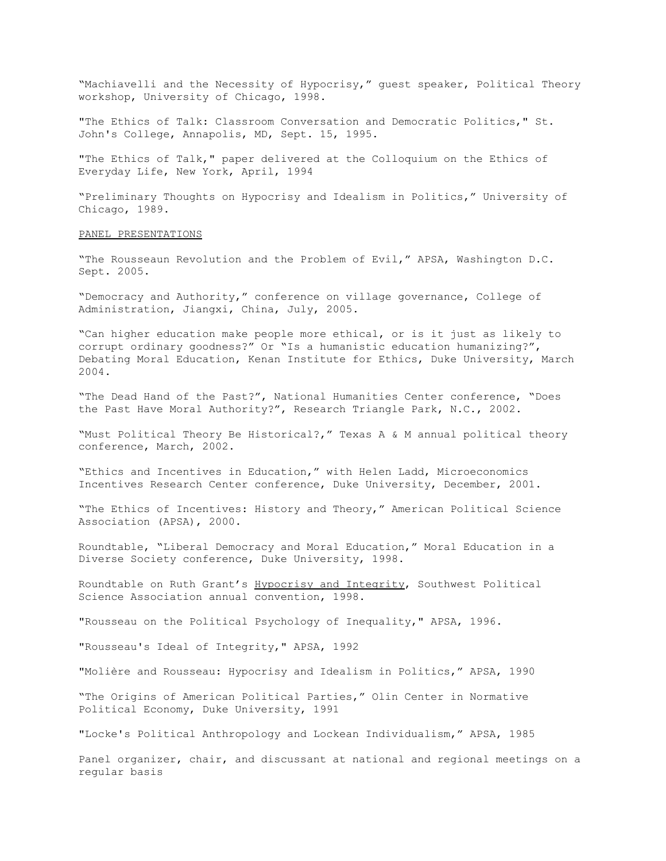"Machiavelli and the Necessity of Hypocrisy," guest speaker, Political Theory workshop, University of Chicago, 1998.

"The Ethics of Talk: Classroom Conversation and Democratic Politics," St. John's College, Annapolis, MD, Sept. 15, 1995.

"The Ethics of Talk," paper delivered at the Colloquium on the Ethics of Everyday Life, New York, April, 1994

"Preliminary Thoughts on Hypocrisy and Idealism in Politics," University of Chicago, 1989.

#### PANEL PRESENTATIONS

"The Rousseaun Revolution and the Problem of Evil," APSA, Washington D.C. Sept. 2005.

"Democracy and Authority," conference on village governance, College of Administration, Jiangxi, China, July, 2005.

"Can higher education make people more ethical, or is it just as likely to corrupt ordinary goodness?" Or "Is a humanistic education humanizing?", Debating Moral Education, Kenan Institute for Ethics, Duke University, March 2004.

"The Dead Hand of the Past?", National Humanities Center conference, "Does the Past Have Moral Authority?", Research Triangle Park, N.C., 2002.

"Must Political Theory Be Historical?," Texas A & M annual political theory conference, March, 2002.

"Ethics and Incentives in Education," with Helen Ladd, Microeconomics Incentives Research Center conference, Duke University, December, 2001.

"The Ethics of Incentives: History and Theory," American Political Science Association (APSA), 2000.

Roundtable, "Liberal Democracy and Moral Education," Moral Education in a Diverse Society conference, Duke University, 1998.

Roundtable on Ruth Grant's Hypocrisy and Integrity, Southwest Political Science Association annual convention, 1998.

"Rousseau on the Political Psychology of Inequality," APSA, 1996.

"Rousseau's Ideal of Integrity," APSA, 1992

"Molière and Rousseau: Hypocrisy and Idealism in Politics," APSA, 1990

"The Origins of American Political Parties," Olin Center in Normative Political Economy, Duke University, 1991

"Locke's Political Anthropology and Lockean Individualism," APSA, 1985

Panel organizer, chair, and discussant at national and regional meetings on a regular basis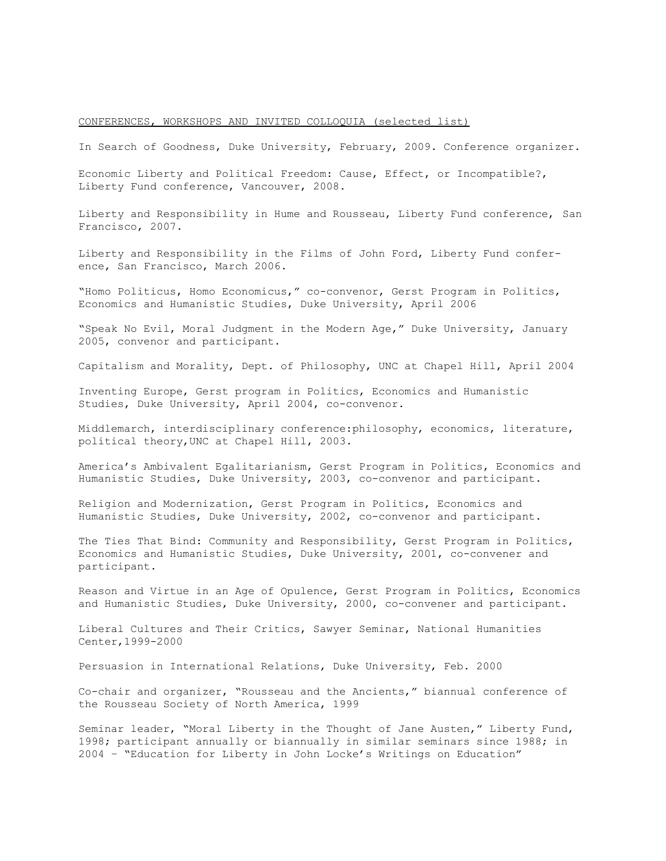# CONFERENCES, WORKSHOPS AND INVITED COLLOQUIA (selected list)

In Search of Goodness, Duke University, February, 2009. Conference organizer.

Economic Liberty and Political Freedom: Cause, Effect, or Incompatible?, Liberty Fund conference, Vancouver, 2008.

Liberty and Responsibility in Hume and Rousseau, Liberty Fund conference, San Francisco, 2007.

Liberty and Responsibility in the Films of John Ford, Liberty Fund conference, San Francisco, March 2006.

"Homo Politicus, Homo Economicus," co-convenor, Gerst Program in Politics, Economics and Humanistic Studies, Duke University, April 2006

"Speak No Evil, Moral Judgment in the Modern Age," Duke University, January 2005, convenor and participant.

Capitalism and Morality, Dept. of Philosophy, UNC at Chapel Hill, April 2004

Inventing Europe, Gerst program in Politics, Economics and Humanistic Studies, Duke University, April 2004, co-convenor.

Middlemarch, interdisciplinary conference:philosophy, economics, literature, political theory,UNC at Chapel Hill, 2003.

America's Ambivalent Egalitarianism, Gerst Program in Politics, Economics and Humanistic Studies, Duke University, 2003, co-convenor and participant.

Religion and Modernization, Gerst Program in Politics, Economics and Humanistic Studies, Duke University, 2002, co-convenor and participant.

The Ties That Bind: Community and Responsibility, Gerst Program in Politics, Economics and Humanistic Studies, Duke University, 2001, co-convener and participant.

Reason and Virtue in an Age of Opulence, Gerst Program in Politics, Economics and Humanistic Studies, Duke University, 2000, co-convener and participant.

Liberal Cultures and Their Critics, Sawyer Seminar, National Humanities Center,1999-2000

Persuasion in International Relations, Duke University, Feb. 2000

Co-chair and organizer, "Rousseau and the Ancients," biannual conference of the Rousseau Society of North America, 1999

Seminar leader, "Moral Liberty in the Thought of Jane Austen," Liberty Fund, 1998; participant annually or biannually in similar seminars since 1988; in 2004 – "Education for Liberty in John Locke's Writings on Education"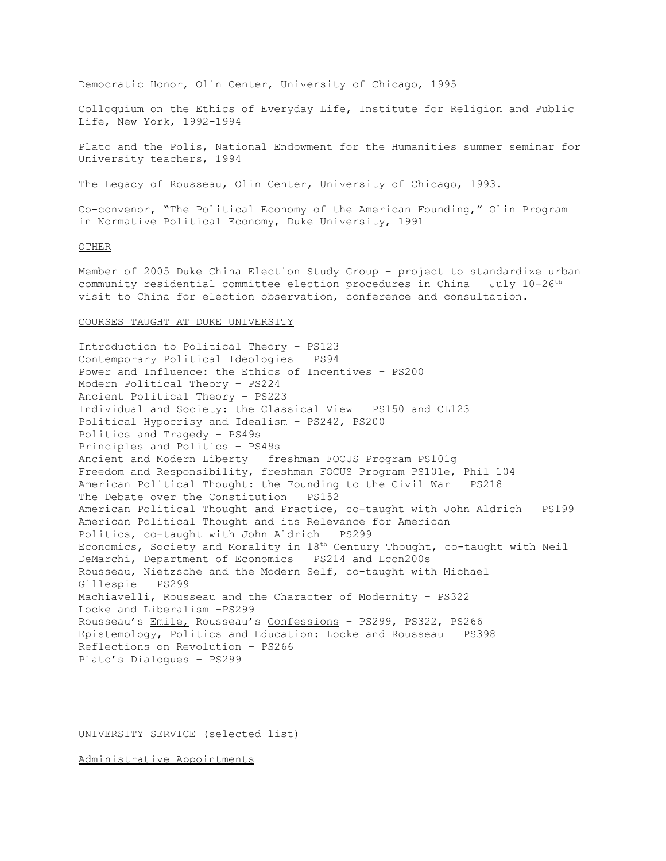Democratic Honor, Olin Center, University of Chicago, 1995

Colloquium on the Ethics of Everyday Life, Institute for Religion and Public Life, New York, 1992-1994

Plato and the Polis, National Endowment for the Humanities summer seminar for University teachers, 1994

The Legacy of Rousseau, Olin Center, University of Chicago, 1993.

Co-convenor, "The Political Economy of the American Founding," Olin Program in Normative Political Economy, Duke University, 1991

OTHER

Member of 2005 Duke China Election Study Group – project to standardize urban community residential committee election procedures in China - July  $10-26$ <sup>th</sup> visit to China for election observation, conference and consultation.

# COURSES TAUGHT AT DUKE UNIVERSITY

Introduction to Political Theory – PS123 Contemporary Political Ideologies – PS94 Power and Influence: the Ethics of Incentives – PS200 Modern Political Theory – PS224 Ancient Political Theory – PS223 Individual and Society: the Classical View – PS150 and CL123 Political Hypocrisy and Idealism – PS242, PS200 Politics and Tragedy – PS49s Principles and Politics – PS49s Ancient and Modern Liberty – freshman FOCUS Program PS101g Freedom and Responsibility, freshman FOCUS Program PS101e, Phil 104 American Political Thought: the Founding to the Civil War – PS218 The Debate over the Constitution – PS152 American Political Thought and Practice, co-taught with John Aldrich – PS199 American Political Thought and its Relevance for American Politics, co-taught with John Aldrich – PS299 Economics, Society and Morality in 18th Century Thought, co-taught with Neil DeMarchi, Department of Economics – PS214 and Econ200s Rousseau, Nietzsche and the Modern Self, co-taught with Michael Gillespie – PS299 Machiavelli, Rousseau and the Character of Modernity – PS322 Locke and Liberalism –PS299 Rousseau's Emile, Rousseau's Confessions – PS299, PS322, PS266 Epistemology, Politics and Education: Locke and Rousseau – PS398 Reflections on Revolution – PS266 Plato's Dialogues – PS299

UNIVERSITY SERVICE (selected list)

Administrative Appointments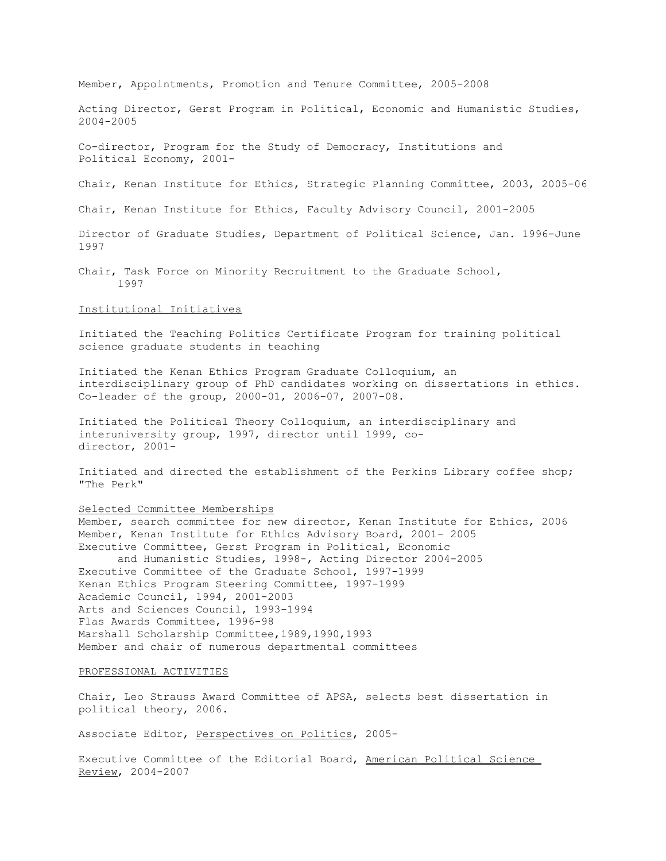Member, Appointments, Promotion and Tenure Committee, 2005-2008

Acting Director, Gerst Program in Political, Economic and Humanistic Studies, 2004-2005

Co-director, Program for the Study of Democracy, Institutions and Political Economy, 2001-

Chair, Kenan Institute for Ethics, Strategic Planning Committee, 2003, 2005-06

Chair, Kenan Institute for Ethics, Faculty Advisory Council, 2001-2005

Director of Graduate Studies, Department of Political Science, Jan. 1996-June 1997

Chair, Task Force on Minority Recruitment to the Graduate School, 1997

# Institutional Initiatives

Initiated the Teaching Politics Certificate Program for training political science graduate students in teaching

Initiated the Kenan Ethics Program Graduate Colloquium, an interdisciplinary group of PhD candidates working on dissertations in ethics. Co-leader of the group, 2000-01, 2006-07, 2007-08.

Initiated the Political Theory Colloquium, an interdisciplinary and interuniversity group, 1997, director until 1999, codirector, 2001-

Initiated and directed the establishment of the Perkins Library coffee shop; "The Perk"

#### Selected Committee Memberships

Member, search committee for new director, Kenan Institute for Ethics, 2006 Member, Kenan Institute for Ethics Advisory Board, 2001- 2005 Executive Committee, Gerst Program in Political, Economic and Humanistic Studies, 1998-, Acting Director 2004-2005 Executive Committee of the Graduate School, 1997-1999 Kenan Ethics Program Steering Committee, 1997-1999 Academic Council, 1994, 2001-2003 Arts and Sciences Council, 1993-1994 Flas Awards Committee, 1996-98 Marshall Scholarship Committee,1989,1990,1993 Member and chair of numerous departmental committees

#### PROFESSIONAL ACTIVITIES

Chair, Leo Strauss Award Committee of APSA, selects best dissertation in political theory, 2006.

Associate Editor, Perspectives on Politics, 2005-

Executive Committee of the Editorial Board, American Political Science Review, 2004-2007